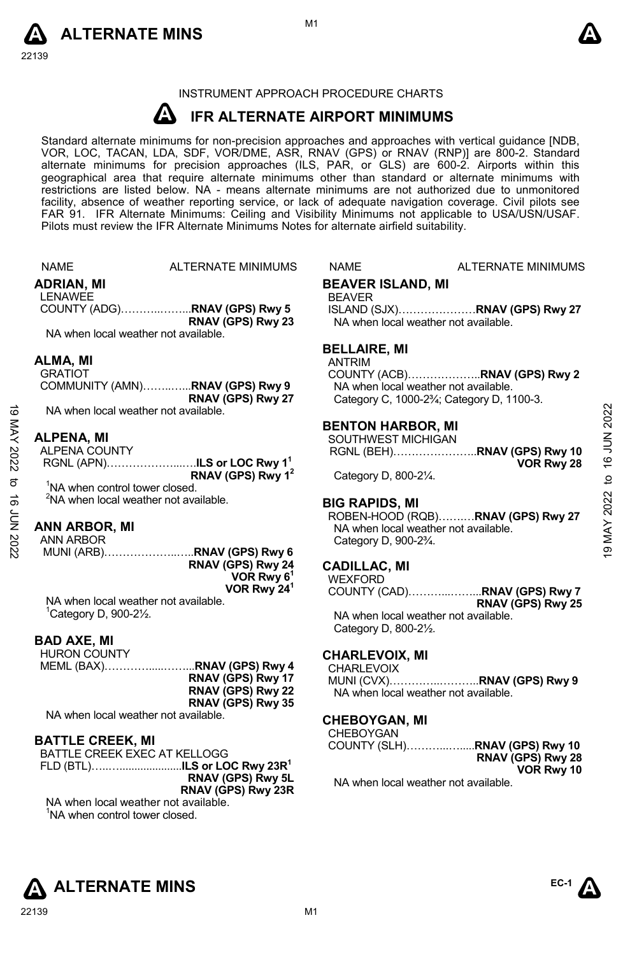



# INSTRUMENT APPROACH PROCEDURE CHARTS

#### **A IFR ALTERNATE AIRPORT MINIMUMS**

Standard alternate minimums for non-precision approaches and approaches with vertical guidance [NDB,<br>VOR, LOC, TACAN, LDA, SDF, VOR/DME, ASR, RNAV (GPS) or RNAV (RNP)] are 800-2. Standard alternate minimums for precision approaches (ILS, PAR, or GLS) are 600-2. Airports within this geographical area that require alternate minimums other than standard or alternate minimums with restrictions are listed below. NA - means alternate minimums are not authorized due to unmonitored facility, absence of weather reporting service, or lack of adequate navigation coverage. Civil pilots see FAR 91. IFR Alternate Minimums: Ceiling and Visibility Minimums not applicable to USA/USN/USAF. Pilots must review the IFR Alternate Minimums Notes for alternate airfield suitability.

|          | <b>NAME</b>                                | ALTERNATE MINIMUMS                                        | <b>NAME</b>                                    | ALTERNATE MINIMUMS                                                   |                 |
|----------|--------------------------------------------|-----------------------------------------------------------|------------------------------------------------|----------------------------------------------------------------------|-----------------|
|          | ADRIAN, MI                                 |                                                           | <b>BEAVER ISLAND, MI</b>                       |                                                                      |                 |
|          | <b>LENAWEE</b>                             |                                                           | <b>BEAVER</b>                                  |                                                                      |                 |
|          |                                            |                                                           |                                                | ISLAND (SJX)RNAV (GPS) Rwy 27                                        |                 |
|          |                                            | RNAV (GPS) Rwy 23                                         |                                                | NA when local weather not available.                                 |                 |
|          |                                            | NA when local weather not available.                      |                                                |                                                                      |                 |
|          |                                            |                                                           | <b>BELLAIRE, MI</b>                            |                                                                      |                 |
|          | ALMA, MI                                   |                                                           | <b>ANTRIM</b>                                  |                                                                      |                 |
|          | <b>GRATIOT</b>                             |                                                           |                                                |                                                                      |                 |
|          |                                            | COMMUNITY (AMN)RNAV (GPS) Rwy 9                           |                                                | NA when local weather not available.                                 |                 |
| ಠ        |                                            | RNAV (GPS) Rwy 27<br>NA when local weather not available. |                                                | Category C, 1000-2 <sup>3</sup> / <sub>4</sub> ; Category D, 1100-3. |                 |
|          |                                            |                                                           |                                                |                                                                      | 2022            |
|          | ALPENA, MI                                 |                                                           | <b>BENTON HARBOR, MI</b><br>SOUTHWEST MICHIGAN |                                                                      |                 |
| MAY 2022 | <b>ALPENA COUNTY</b>                       |                                                           |                                                | RGNL (BEH)RNAV (GPS) Rwy 10                                          | 16 JUN          |
|          |                                            | RGNL (APN)ILS or LOC Rwy 1 <sup>1</sup>                   |                                                | VOR Rwy 28                                                           |                 |
|          |                                            | RNAV (GPS) Rwy 1 <sup>2</sup>                             | Category D, 800-21/4.                          |                                                                      | $\overline{c}$  |
| ಕ        | <sup>1</sup> NA when control tower closed. |                                                           |                                                |                                                                      |                 |
| ಕ        |                                            | <sup>2</sup> NA when local weather not available.         | <b>BIG RAPIDS, MI</b>                          |                                                                      | <b>MAY 2022</b> |
|          |                                            |                                                           |                                                | ROBEN-HOOD (RQB)RNAV (GPS) Rwy 27                                    |                 |
|          | <b>ANN ARBOR, MI</b>                       |                                                           |                                                | NA when local weather not available.                                 |                 |
| 2202 NNT | ANN ARBOR                                  |                                                           | Category D, 900-23/4.                          |                                                                      | ತ               |
|          |                                            | MUNI (ARB)RNAV (GPS) Rwy 6<br>RNAV (GPS) Rwy 24           |                                                |                                                                      |                 |
|          |                                            | VOR Rwy $61$                                              | <b>CADILLAC. MI</b>                            |                                                                      |                 |
|          |                                            | VOR Rwy 24 <sup>1</sup>                                   | <b>WEXFORD</b>                                 | COUNTY (CAD)RNAV (GPS) Rwy 7                                         |                 |
|          |                                            | NA when local weather not available.                      |                                                | RNAV (GPS) Rwy 25                                                    |                 |
|          | ${}^{1}$ Category D, 900-2 $\frac{1}{2}$ . |                                                           |                                                | NA when local weather not available.                                 |                 |
|          |                                            |                                                           | Category D, 800-21/2.                          |                                                                      |                 |
|          | <b>BAD AXE. MI</b>                         |                                                           |                                                |                                                                      |                 |
|          | <b>HURON COUNTY</b>                        |                                                           | <b>CHARLEVOIX, MI</b>                          |                                                                      |                 |
|          |                                            | MEML (BAX)RNAV (GPS) Rwy 4                                | CHARLEVOIX                                     |                                                                      |                 |
|          |                                            | RNAV (GPS) Rwy 17                                         |                                                | MUNI (CVX)RNAV (GPS) Rwy 9                                           |                 |
|          |                                            | RNAV (GPS) Rwy 22<br>RNAV (GPS) Rwy 35                    |                                                | NA when local weather not available.                                 |                 |
|          |                                            | NA when local weather not available.                      |                                                |                                                                      |                 |
|          |                                            |                                                           | <b>CHEBOYGAN, MI</b><br>CHEBOYGAN              |                                                                      |                 |
|          | <b>BATTLE CREEK, MI</b>                    |                                                           |                                                | COUNTY (SLH)RNAV (GPS) Rwy 10                                        |                 |
|          |                                            | BATTLE CREEK EXEC AT KELLOGG                              |                                                | RNAV (GPS) Rwy 28                                                    |                 |
|          |                                            | FLD (BTL)ILS or LOC Rwy 23R <sup>1</sup>                  |                                                | VOR Rwy 10                                                           |                 |
|          |                                            | RNAV (GPS) Rwy 5L                                         |                                                | NA when local weather not available.                                 |                 |
|          |                                            | RNAV (GPS) Rwy 23R                                        |                                                |                                                                      |                 |



NA when local weather not available. <sup>1</sup>NA when control tower closed.

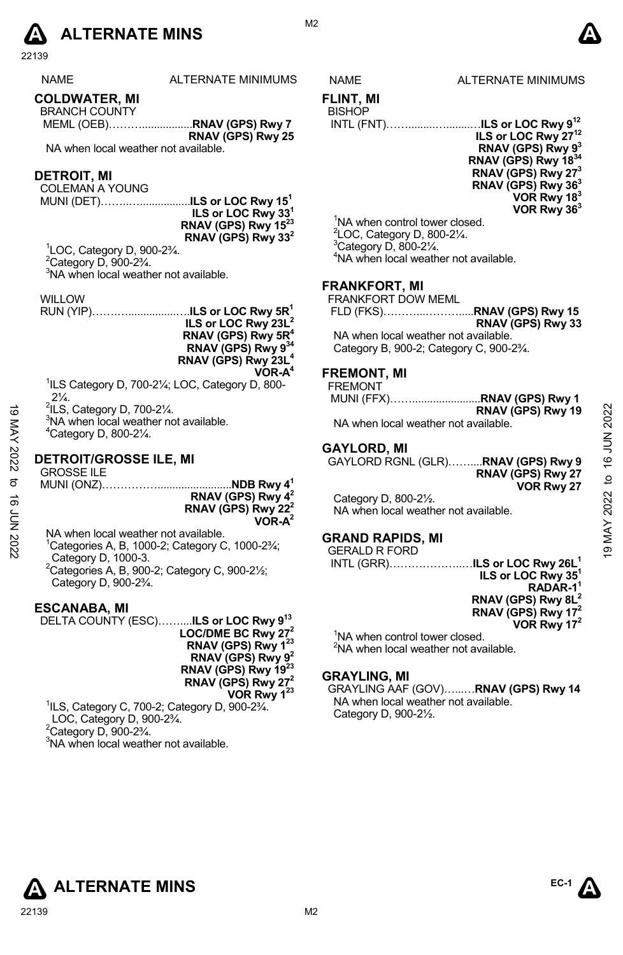

22139

| <b>NAME</b> | <b>ALTI</b> |
|-------------|-------------|
|-------------|-------------|

**COLDWATER, MI** 

BRANCH COUNTY MEML (OEB)……….................**RNAV (GPS) Rwy 7 RNAV (GPS) Rwy 25** 

NA when local weather not available.

# **DETROIT, MI**

COLEMAN A YOUNG

MUNI (DET)……..….................**ILS or LOC Rwy 151 ILS or LOC Rwy 331 RNAV (GPS) Rwy 1523 RNAV (GPS) Rwy 332**

1 LOC, Category D, 900-2¾.  $2$ Category D, 900-2 $\frac{3}{4}$ . <sup>3</sup>NA when local weather not available.

WILLOW

RUN (YIP)…….…................….**ILS or LOC Rwy 5R1 ILS or LOC Rwy 23L2 RNAV (GPS) Rwy 5R4 RNAV (GPS) Rwy 934 RNAV (GPS) Rwy 23L4 VOR-A4** 

<sup>1</sup>ILS Category D, 700-21/<sub>4</sub>; LOC, Category D, 800- $2\frac{1}{4}$ .

 $2$ ILS, Category D, 700-2 $\frac{1}{4}$ .

<sup>3</sup>NA when local weather not available. 4 Category D, 800-2¼.

# **DETROIT/GROSSE ILE, MI**

GROSSE ILE MUNI (ONZ)…………….........................**NDB Rwy 41 RNAV (GPS) Rwy 42 RNAV (GPS) Rwy 222 VOR-A2**  $\frac{3}{4}$  ILS, Category D, 700-2<sup>1</sup>/<sub>4</sub>.<br>
<sup>3</sup>NA when local weather not available.<br>
<sup>2</sup> <sup>3</sup>NA when local weather not available.<br>
<sup>2</sup> <sup>4</sup>Category D, 800-2<sup>1/</sup><sub>4</sub>.<br>
<br> **2022**<br> **2021**<br> **2021**<br> **2021**<br> **2021**<br> **2021**<br> **2021**<br>

NA when local weather not available.

 $1$ Categories A, B, 1000-2; Category C, 1000-2 $\frac{3}{4}$ ; Category D, 1000-3.  ${}^{2}$ Categories A, B, 900-2; Category C, 900-2 $\frac{1}{2}$ ; Category D, 900-2¾.

# **ESCANABA, MI**

DELTA COUNTY (ESC)……....**ILS or LOC Rwy 913 LOC/DME BC Rwy 272 RNAV (GPS) Rwy 123 RNAV (GPS) Rwy 92 RNAV (GPS) Rwy 1923 RNAV (GPS) Rwy 272 VOR Rwy 123** 1 ILS, Category C, 700-2; Category D, 900-2¾.

 LOC, Category D, 900-2¾.  $2^2$ Category D, 900-2 $\frac{3}{4}$ . <sup>3</sup>NA when local weather not available.



M<sub>2</sub>

# ERNATE MINIMUMS NAME ALTERNATE MINIMUMS

#### **FLINT, MI BISHOP**

INTL (FNT)…….........…........…**ILS or LOC Rwy 912**



<sup>1</sup>NA when control tower closed. LOC, Category D, 800-2¼. Category D, 800-2 $\frac{1}{4}$ . NA when local weather not available.

# **FRANKFORT, MI**

FRANKFORT DOW MEML

|                                                                    | RNAV (GPS) Rwy 33 |
|--------------------------------------------------------------------|-------------------|
| NA when local weather not available.                               |                   |
| Category B, 900-2; Category C, 900-2 <sup>3</sup> / <sub>4</sub> . |                   |

# **FREMONT, MI**

FREMONT

|                                      | RNAV (GPS) Rwy 19 |
|--------------------------------------|-------------------|
| NA when local weather not available. |                   |

# **GAYLORD, MI**

GAYLORD RGNL (GLR)……....**RNAV (GPS) Rwy 9 RNAV (GPS) Rwy 27 VOR Rwy 27** 

Category D, 800-2½. NA when local weather not available.

# **GRAND RAPIDS, MI**

GERALD R FORD INTL (GRR)………………..…**ILS or LOC Rwy 26L1**

**ILS or LOC Rwy 351 RADAR-11 RNAV (GPS) Rwy 8L2 RNAV (GPS) Rwy 172 VOR Rwy 172** 

<sup>1</sup>NA when control tower closed. <sup>2</sup>NA when local weather not available.

# **GRAYLING, MI**

GRAYLING AAF (GOV)…...…**RNAV (GPS) Rwy 14**  NA when local weather not available. Category D, 900-2½.

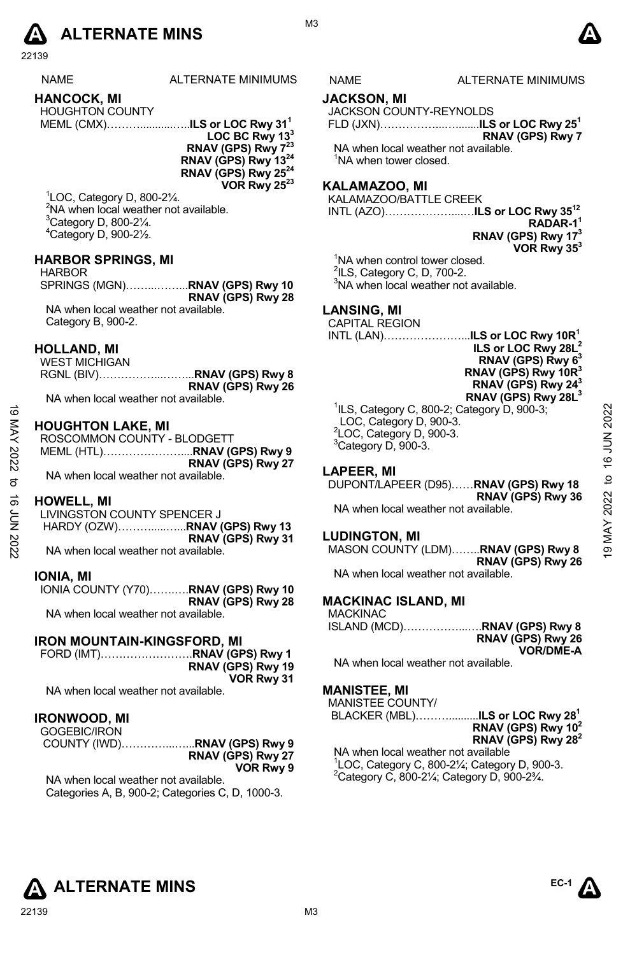

22139

| <b>NAME</b>              | ALTERNATE MINIMUM |
|--------------------------|-------------------|
| <b>HANCOCK, MI</b>       |                   |
| <b>LIQUOLITON COUNTY</b> |                   |

| <b>HOUGHTON COUNTY</b> |  |
|------------------------|--|
|                        |  |

**LOC BC Rwy 133 RNAV (GPS) Rwy 7<sup>23</sup> RNAV (GPS) Rwy 1324 RNAV (GPS) Rwy 2524 VOR Rwy 2523**

 LOC, Category D, 800-2¼. <sup>2</sup>NA when local weather not available. Category D, 800-2 $\frac{1}{4}$ . Category D, 900-2½.

# **HARBOR SPRINGS, MI**

HARBOR SPRINGS (MGN)……...……...**RNAV (GPS) Rwy 10 RNAV (GPS) Rwy 28**  NA when local weather not available. Category B, 900-2.

# **HOLLAND, MI**

| WEST MICHIGAN                        |                                             |
|--------------------------------------|---------------------------------------------|
|                                      | RGNL (BIV)…………………… <b>.RNAV (GPS) Rwy 8</b> |
|                                      | RNAV (GPS) Rwy 26                           |
| NA when local weather not available. |                                             |

# **HOUGHTON LAKE, MI**

| cΟ<br>KAY | <b>HOUGHTON LAKE, MI</b><br>ROSCOMMON COUNTY - BLODGETT<br>MEML (HTL)RNAV (GPS) Rwy 9 | <sup>1</sup> ILS, Category C, 800-2; Category D, 900-3;<br>LOC, Category D, 900-3.<br><sup>2</sup> LOC, Category D, 900-3.<br><sup>3</sup> Category D, 900-3. | 2022 |
|-----------|---------------------------------------------------------------------------------------|---------------------------------------------------------------------------------------------------------------------------------------------------------------|------|
| 2022      | RNAV (GPS) Rwy 27                                                                     | <b>LAPEER, MI</b>                                                                                                                                             | ဖ    |
| ನ         | NA when local weather not available.                                                  | DUPONT/LAPEER (D95)RNAV (GPS) Rwy 18                                                                                                                          | đ    |
| ಹೆ        | <b>HOWELL, MI</b>                                                                     | RNAV (GPS) Rwy 36                                                                                                                                             | 2022 |
| ξ         | LIVINGSTON COUNTY SPENCER J                                                           | NA when local weather not available.                                                                                                                          |      |
| 2022      | RNAV (GPS) Rwy 31<br>NA when local weather not available.                             | <b>LUDINGTON, MI</b><br>MASON COUNTY (LDM)RNAV (GPS) Rwy 8                                                                                                    | ę,   |

# **HOWELL, MI**

### **IONIA, MI**

IONIA COUNTY (Y70)…….….**RNAV (GPS) Rwy 10 RNAV (GPS) Rwy 28**  NA when local weather not available.

# **IRON MOUNTAIN-KINGSFORD, MI**

FORD (IMT)…………………….**RNAV (GPS) Rwy 1 RNAV (GPS) Rwy 19 VOR Rwy 31** 

NA when local weather not available.

# **IRONWOOD, MI**

| GOGEBIC/IRON |                   |
|--------------|-------------------|
|              |                   |
|              | RNAV (GPS) Rwy 27 |
|              | VOR Rwy 9         |

NA when local weather not available. Categories A, B, 900-2; Categories C, D, 1000-3.

# **JACKSON, MI**

JACKSON COUNTY-REYNOLDS

FLD (JXN)……………...…........**ILS or LOC Rwy 251 RNAV (GPS) Rwy 7**

NA when local weather not available. <sup>1</sup>NA when tower closed.

# **KALAMAZOO, MI**

KALAMAZOO/BATTLE CREEK

INTL (AZO)………………....…**ILS or LOC Rwy 3512 RADAR-11 RNAV (GPS) Rwy 173 VOR Rwy 353** 

<sup>1</sup>NA when control tower closed.  $2$ ILS, Category C, D, 700-2.

<sup>3</sup>NA when local weather not available.

# **LANSING, MI**

CAPITAL REGION



ILS, Category C, 800-2; Category D, 900-3; LOC, Category D, 900-3. LOC, Category D, 900-3. Category D, 900- $3.$ 

# **LAPEER, MI**

# NA when local weather not available.

# **LUDINGTON, MI**

MASON COUNTY (LDM)……..**RNAV (GPS) Rwy 8 RNAV (GPS) Rwy 26** NA when local weather not available.

# **MACKINAC ISLAND, MI**

MACKINAC ISLAND (MCD)……………...….**RNAV (GPS) Rwy 8 RNAV (GPS) Rwy 26** 

**VOR/DME-A**  NA when local weather not available.

### **MANISTEE, MI**

MANISTEE COUNTY/

 BLACKER (MBL)………..........**ILS or LOC Rwy 281 RNAV (GPS) Rwy 102 RNAV (GPS) Rwy 282** 

NA when local weather not available  $^{1}$ LOC, Category C, 800-2¼; Category D, 900-3.  $^{2}$ Category C, 800-21⁄4; Category D, 900-23⁄4.



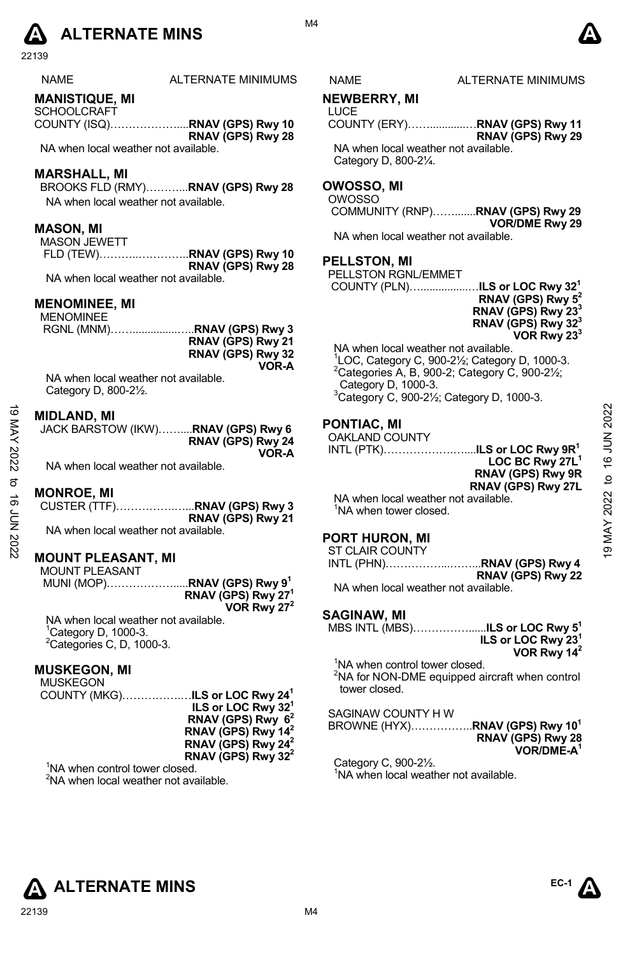# **A** ALTERNATE MINS  $\bullet$

22139

| NAMF |  |
|------|--|
|      |  |

# **MANISTIQUE, MI**

- **SCHOOLCRAFT** COUNTY (ISQ)………………....**RNAV (GPS) Rwy 10**
- **RNAV (GPS) Rwy 28**  NA when local weather not available.

**MARSHALL, MI** 

BROOKS FLD (RMY)………...**RNAV (GPS) Rwy 28**  NA when local weather not available.

# **MASON, MI**

MASON JEWETT FLD (TEW)………..…………..**RNAV (GPS) Rwy 10 RNAV (GPS) Rwy 28**  NA when local weather not available.

**MENOMINEE, MI** 

| MENOMINEE |                   |
|-----------|-------------------|
|           |                   |
|           | RNAV (GPS) Rwy 21 |
|           | RNAV (GPS) Rwy 32 |
|           | VOR-A             |
|           |                   |

NA when local weather not available. Category D, 800-2½.

# **MIDLAND, MI**

| JACK BARSTOW (IKW)RNAV (GPS) Rwy 6 |                   |
|------------------------------------|-------------------|
|                                    | RNAV (GPS) Rwy 24 |
|                                    | VOR-A             |

NA when local weather not available.

# **MONROE, MI**

|                                      | RNAV (GPS) Rwy 21 |
|--------------------------------------|-------------------|
| NA when local weather not available. |                   |

# **MOUNT PLEASANT, MI**

| <b>MOUNT PLEASANT</b> |                                         |
|-----------------------|-----------------------------------------|
|                       | MUNI (MOP)RNAV (GPS) Rwy 9 <sup>1</sup> |
|                       | RNAV (GPS) Rwy 27 <sup>1</sup>          |
|                       | VOR Rwy $27^2$                          |

NA when local weather not available. <sup>1</sup>Category D, 1000-3.  ${}^{2}$ Categories C, D, 1000-3.

# **MUSKEGON, MI**

MUSKEGON COUNTY (MKG)…………….…**ILS or LOC Rwy 241 ILS or LOC Rwy 321 RNAV (GPS) Rwy 62 RNAV (GPS) Rwy 142 RNAV (GPS) Rwy 242 RNAV (GPS) Rwy 322** 

<sup>1</sup>NA when control tower closed. <sup>2</sup>NA when local weather not available.

M4

# ALTERNATE MINIMUMS NAME ALTERNATE MINIMUMS

# **NEWBERRY, MI**

LUCE COUNTY (ERY)……............…**RNAV (GPS) Rwy 11 RNAV (GPS) Rwy 29** 

NA when local weather not available. Category D, 800-2¼.

# **OWOSSO, MI**

OWOSSO COMMUNITY (RNP)…….......**RNAV (GPS) Rwy 29 VOR/DME Rwy 29** 

NA when local weather not available.

# **PELLSTON, MI**

| PELLSTON RGNL/EMMET                               |                                |
|---------------------------------------------------|--------------------------------|
| COUNTY (PLN) <b>ILS or LOC Rwy 32<sup>1</sup></b> |                                |
|                                                   | RNAV (GPS) Rwy $5^2$           |
|                                                   | RNAV (GPS) Rwy 23 <sup>3</sup> |
|                                                   | RNAV (GPS) Rwy 32 <sup>3</sup> |
|                                                   | VOR Rwy 23 <sup>3</sup>        |

NA when local weather not available.

 LOC, Category C, 900-2½; Category D, 1000-3. Categories A, B, 900-2; Category C, 900-2 $\frac{1}{2}$ ; Category D, 1000-3. Category C, 900-21⁄2; Category D, 1000-3.

# **PONTIAC, MI**

# OAKLAND COUNTY

INTL (PTK)……………….…....**ILS or LOC Rwy 9R1 LOC BC Rwy 27L1 RNAV (GPS) Rwy 9R RNAV (GPS) Rwy 27L**  19 MAY 2022 to 16 JUN 202219 MAY 2022 to 16 JUN 2022

NA when local weather not available. <sup>1</sup>NA when tower closed.

# **PORT HURON, MI**

ST CLAIR COUNTY

|                                     | INTL (PHN)RNAV (GPS) Rwy 4 |
|-------------------------------------|----------------------------|
|                                     | RNAV (GPS) Rwy 22          |
| MA uhan local woother not ovailable |                            |

NA when local weather not available.

# **SAGINAW, MI**

| MBS INTL (MBS) <b>ILS or LOC Rwy 5<sup>1</sup></b><br>ILS or LOC Rwy 23 <sup>1</sup><br>VOR Rwy 14 <sup>2</sup>           |  |
|---------------------------------------------------------------------------------------------------------------------------|--|
| <sup>1</sup> NA when control tower closed.<br><sup>2</sup> NA for NON-DME equipped aircraft when control<br>tower closed. |  |
| SAGINAW COUNTY H W<br>BROWNE (HYX)RNAV (GPS) Rwy 10 <sup>1</sup><br>$PMAV$ (CDS) $P_{WW}$ 28                              |  |

**RNAV (GPS) Rwy 28 VOR/DME-A1** 

Category C, 900-2½. <sup>1</sup>NA when local weather not available.